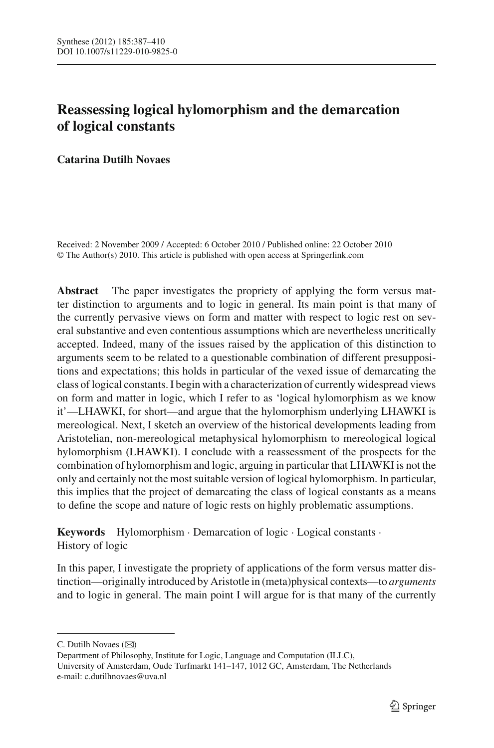# **Reassessing logical hylomorphism and the demarcation of logical constants**

**Catarina Dutilh Novaes**

Received: 2 November 2009 / Accepted: 6 October 2010 / Published online: 22 October 2010 © The Author(s) 2010. This article is published with open access at Springerlink.com

**Abstract** The paper investigates the propriety of applying the form versus matter distinction to arguments and to logic in general. Its main point is that many of the currently pervasive views on form and matter with respect to logic rest on several substantive and even contentious assumptions which are nevertheless uncritically accepted. Indeed, many of the issues raised by the application of this distinction to arguments seem to be related to a questionable combination of different presuppositions and expectations; this holds in particular of the vexed issue of demarcating the class of logical constants. I begin with a characterization of currently widespread views on form and matter in logic, which I refer to as 'logical hylomorphism as we know it'—LHAWKI, for short—and argue that the hylomorphism underlying LHAWKI is mereological. Next, I sketch an overview of the historical developments leading from Aristotelian, non-mereological metaphysical hylomorphism to mereological logical hylomorphism (LHAWKI). I conclude with a reassessment of the prospects for the combination of hylomorphism and logic, arguing in particular that LHAWKI is not the only and certainly not the most suitable version of logical hylomorphism. In particular, this implies that the project of demarcating the class of logical constants as a means to define the scope and nature of logic rests on highly problematic assumptions.

**Keywords** Hylomorphism · Demarcation of logic · Logical constants · History of logic

In this paper, I investigate the propriety of applications of the form versus matter distinction—originally introduced by Aristotle in (meta)physical contexts—to *arguments* and to logic in general. The main point I will argue for is that many of the currently

C. Dutilh Novaes  $(\boxtimes)$ 

Department of Philosophy, Institute for Logic, Language and Computation (ILLC), University of Amsterdam, Oude Turfmarkt 141–147, 1012 GC, Amsterdam, The Netherlands e-mail: c.dutilhnovaes@uva.nl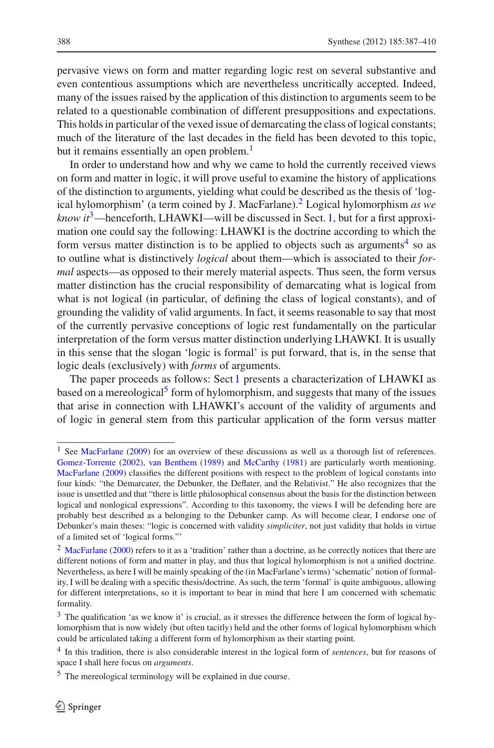pervasive views on form and matter regarding logic rest on several substantive and even contentious assumptions which are nevertheless uncritically accepted. Indeed, many of the issues raised by the application of this distinction to arguments seem to be related to a questionable combination of different presuppositions and expectations. This holds in particular of the vexed issue of demarcating the class of logical constants; much of the literature of the last decades in the field has been devoted to this topic, but it remains essentially an open problem.<sup>[1](#page-1-0)</sup>

In order to understand how and why we came to hold the currently received views on form and matter in logic, it will prove useful to examine the history of applications of the distinction to arguments, yielding what could be described as the thesis of 'logical hylomorphism' (a term coined by J. MacFarlane).[2](#page-1-1) Logical hylomorphism *as we know it*<sup>3</sup>—henceforth, LHAWKI—will be discussed in Sect. [1,](#page-2-0) but for a first approximation one could say the following: LHAWKI is the doctrine according to which the form versus matter distinction is to be applied to objects such as arguments<sup>4</sup> so as to outline what is distinctively *logical* about them—which is associated to their *formal* aspects—as opposed to their merely material aspects. Thus seen, the form versus matter distinction has the crucial responsibility of demarcating what is logical from what is not logical (in particular, of defining the class of logical constants), and of grounding the validity of valid arguments. In fact, it seems reasonable to say that most of the currently pervasive conceptions of logic rest fundamentally on the particular interpretation of the form versus matter distinction underlying LHAWKI. It is usually in this sense that the slogan 'logic is formal' is put forward, that is, in the sense that logic deals (exclusively) with *forms* of arguments.

The paper proceeds as follows: Sect [1](#page-2-0) presents a characterization of LHAWKI as based on a mereological<sup>5</sup> form of hylomorphism, and suggests that many of the issues that arise in connection with LHAWKI's account of the validity of arguments and of logic in general stem from this particular application of the form versus matter

<span id="page-1-0"></span><sup>&</sup>lt;sup>1</sup> See [MacFarlane](#page-23-0) [\(2009](#page-23-0)) for an overview of these discussions as well as a thorough list of references. [Gomez-Torrente](#page-23-1) [\(2002\)](#page-23-1), [van Benthem](#page-23-2) [\(1989\)](#page-23-2) and [McCarthy](#page-23-3) [\(1981\)](#page-23-3) are particularly worth mentioning. [MacFarlane](#page-23-0) [\(2009\)](#page-23-0) classifies the different positions with respect to the problem of logical constants into four kinds: "the Demarcater, the Debunker, the Deflater, and the Relativist." He also recognizes that the issue is unsettled and that "there is little philosophical consensus about the basis for the distinction between logical and nonlogical expressions". According to this taxonomy, the views I will be defending here are probably best described as a belonging to the Debunker camp. As will become clear, I endorse one of Debunker's main theses: "logic is concerned with validity *simpliciter*, not just validity that holds in virtue of a limited set of 'logical forms."'

<span id="page-1-1"></span><sup>&</sup>lt;sup>2</sup> [MacFarlane](#page-23-4) [\(2000](#page-23-4)) refers to it as a 'tradition' rather than a doctrine, as he correctly notices that there are different notions of form and matter in play, and thus that logical hylomorphism is not a unified doctrine. Nevertheless, as here I will be mainly speaking of the (in MacFarlane's terms) 'schematic' notion of formality, I will be dealing with a specific thesis/doctrine. As such, the term 'formal' is quite ambiguous, allowing for different interpretations, so it is important to bear in mind that here I am concerned with schematic formality.

<span id="page-1-2"></span><sup>&</sup>lt;sup>3</sup> The qualification 'as we know it' is crucial, as it stresses the difference between the form of logical hylomorphism that is now widely (but often tacitly) held and the other forms of logical hylomorphism which could be articulated taking a different form of hylomorphism as their starting point.

<span id="page-1-3"></span><sup>4</sup> In this tradition, there is also considerable interest in the logical form of *sentences*, but for reasons of space I shall here focus on *arguments*.

<span id="page-1-4"></span><sup>5</sup> The mereological terminology will be explained in due course.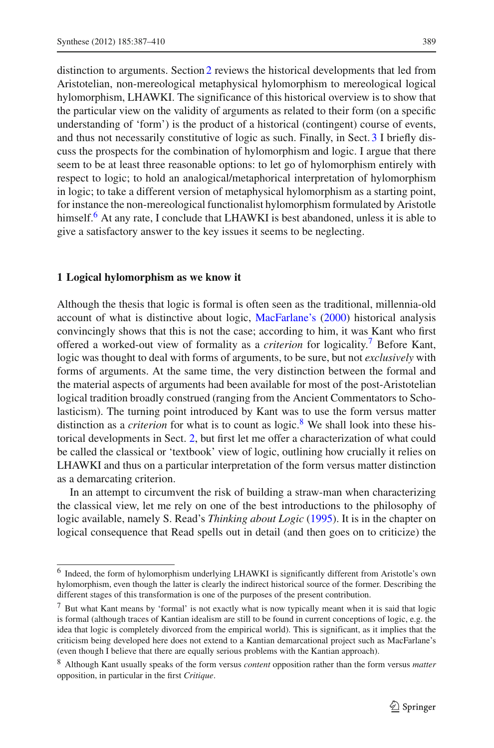distinction to arguments. Section [2](#page-11-0) reviews the historical developments that led from Aristotelian, non-mereological metaphysical hylomorphism to mereological logical hylomorphism, LHAWKI. The significance of this historical overview is to show that the particular view on the validity of arguments as related to their form (on a specific understanding of 'form') is the product of a historical (contingent) course of events, and thus not necessarily constitutive of logic as such. Finally, in Sect. [3](#page-18-0) I briefly discuss the prospects for the combination of hylomorphism and logic. I argue that there seem to be at least three reasonable options: to let go of hylomorphism entirely with respect to logic; to hold an analogical/metaphorical interpretation of hylomorphism in logic; to take a different version of metaphysical hylomorphism as a starting point, for instance the non-mereological functionalist hylomorphism formulated by Aristotle himself.<sup>6</sup> At any rate, I conclude that LHAWKI is best abandoned, unless it is able to give a satisfactory answer to the key issues it seems to be neglecting.

## <span id="page-2-0"></span>**1 Logical hylomorphism as we know it**

Although the thesis that logic is formal is often seen as the traditional, millennia-old account of what is distinctive about logic, [MacFarlane's](#page-23-4) [\(2000](#page-23-4)) historical analysis convincingly shows that this is not the case; according to him, it was Kant who first offered a worked-out view of formality as a *criterion* for logicality.[7](#page-2-2) Before Kant, logic was thought to deal with forms of arguments, to be sure, but not *exclusively* with forms of arguments. At the same time, the very distinction between the formal and the material aspects of arguments had been available for most of the post-Aristotelian logical tradition broadly construed (ranging from the Ancient Commentators to Scholasticism). The turning point introduced by Kant was to use the form versus matter distinction as a *criterion* for what is to count as logic.<sup>8</sup> We shall look into these historical developments in Sect. [2,](#page-11-0) but first let me offer a characterization of what could be called the classical or 'textbook' view of logic, outlining how crucially it relies on LHAWKI and thus on a particular interpretation of the form versus matter distinction as a demarcating criterion.

In an attempt to circumvent the risk of building a straw-man when characterizing the classical view, let me rely on one of the best introductions to the philosophy of logic available, namely S. Read's *Thinking about Logic* [\(1995](#page-23-5)). It is in the chapter on logical consequence that Read spells out in detail (and then goes on to criticize) the

<span id="page-2-1"></span><sup>6</sup> Indeed, the form of hylomorphism underlying LHAWKI is significantly different from Aristotle's own hylomorphism, even though the latter is clearly the indirect historical source of the former. Describing the different stages of this transformation is one of the purposes of the present contribution.

<span id="page-2-2"></span><sup>7</sup> But what Kant means by 'formal' is not exactly what is now typically meant when it is said that logic is formal (although traces of Kantian idealism are still to be found in current conceptions of logic, e.g. the idea that logic is completely divorced from the empirical world). This is significant, as it implies that the criticism being developed here does not extend to a Kantian demarcational project such as MacFarlane's (even though I believe that there are equally serious problems with the Kantian approach).

<span id="page-2-3"></span><sup>8</sup> Although Kant usually speaks of the form versus *content* opposition rather than the form versus *matter* opposition, in particular in the first *Critique*.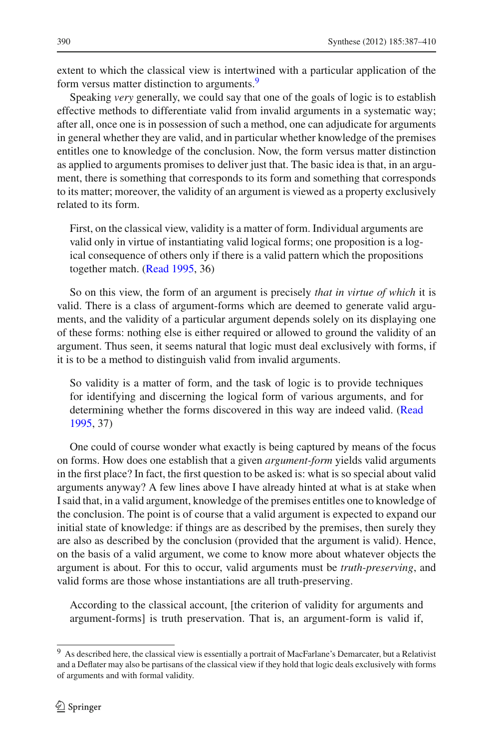extent to which the classical view is intertwined with a particular application of the form versus matter distinction to arguments.<sup>9</sup>

Speaking *very* generally, we could say that one of the goals of logic is to establish effective methods to differentiate valid from invalid arguments in a systematic way; after all, once one is in possession of such a method, one can adjudicate for arguments in general whether they are valid, and in particular whether knowledge of the premises entitles one to knowledge of the conclusion. Now, the form versus matter distinction as applied to arguments promises to deliver just that. The basic idea is that, in an argument, there is something that corresponds to its form and something that corresponds to its matter; moreover, the validity of an argument is viewed as a property exclusively related to its form.

First, on the classical view, validity is a matter of form. Individual arguments are valid only in virtue of instantiating valid logical forms; one proposition is a logical consequence of others only if there is a valid pattern which the propositions together match. [\(Read 1995,](#page-23-5) 36)

So on this view, the form of an argument is precisely *that in virtue of which* it is valid. There is a class of argument-forms which are deemed to generate valid arguments, and the validity of a particular argument depends solely on its displaying one of these forms: nothing else is either required or allowed to ground the validity of an argument. Thus seen, it seems natural that logic must deal exclusively with forms, if it is to be a method to distinguish valid from invalid arguments.

So validity is a matter of form, and the task of logic is to provide techniques for identifying and discerning the logical form of various arguments, and for determining whether the forms discovered in this way are indeed valid. [\(Read](#page-23-5) [1995,](#page-23-5) 37)

One could of course wonder what exactly is being captured by means of the focus on forms. How does one establish that a given *argument-form* yields valid arguments in the first place? In fact, the first question to be asked is: what is so special about valid arguments anyway? A few lines above I have already hinted at what is at stake when I said that, in a valid argument, knowledge of the premises entitles one to knowledge of the conclusion. The point is of course that a valid argument is expected to expand our initial state of knowledge: if things are as described by the premises, then surely they are also as described by the conclusion (provided that the argument is valid). Hence, on the basis of a valid argument, we come to know more about whatever objects the argument is about. For this to occur, valid arguments must be *truth-preserving*, and valid forms are those whose instantiations are all truth-preserving.

According to the classical account, [the criterion of validity for arguments and argument-forms] is truth preservation. That is, an argument-form is valid if,

<span id="page-3-0"></span><sup>&</sup>lt;sup>9</sup> As described here, the classical view is essentially a portrait of MacFarlane's Demarcater, but a Relativist and a Deflater may also be partisans of the classical view if they hold that logic deals exclusively with forms of arguments and with formal validity.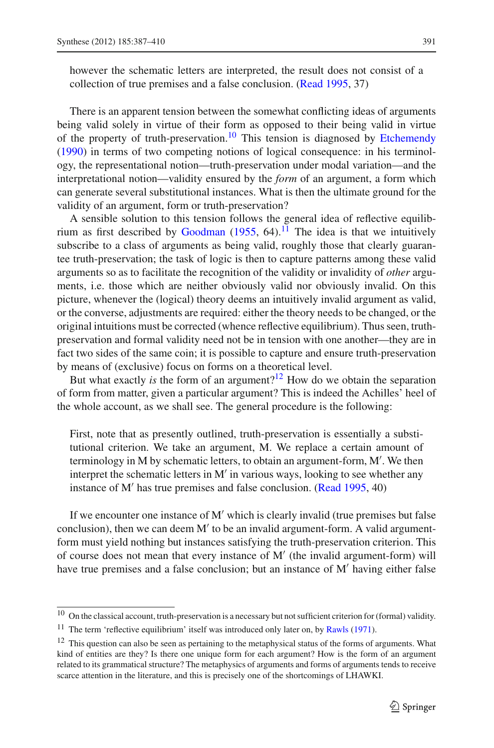however the schematic letters are interpreted, the result does not consist of a collection of true premises and a false conclusion. [\(Read 1995,](#page-23-5) 37)

There is an apparent tension between the somewhat conflicting ideas of arguments being valid solely in virtue of their form as opposed to their being valid in virtue of the property of truth-preservation.<sup>[10](#page-4-0)</sup> This tension is diagnosed by [Etchemendy](#page-23-6) [\(1990\)](#page-23-6) in terms of two competing notions of logical consequence: in his terminology, the representational notion—truth-preservation under modal variation—and the interpretational notion—validity ensured by the *form* of an argument, a form which can generate several substitutional instances. What is then the ultimate ground for the validity of an argument, form or truth-preservation?

A sensible solution to this tension follows the general idea of reflective equilib-rium as first described by [Goodman](#page-23-7)  $(1955, 64)$  $(1955, 64)$ .<sup>[11](#page-4-1)</sup> The idea is that we intuitively subscribe to a class of arguments as being valid, roughly those that clearly guarantee truth-preservation; the task of logic is then to capture patterns among these valid arguments so as to facilitate the recognition of the validity or invalidity of *other* arguments, i.e. those which are neither obviously valid nor obviously invalid. On this picture, whenever the (logical) theory deems an intuitively invalid argument as valid, or the converse, adjustments are required: either the theory needs to be changed, or the original intuitions must be corrected (whence reflective equilibrium). Thus seen, truthpreservation and formal validity need not be in tension with one another—they are in fact two sides of the same coin; it is possible to capture and ensure truth-preservation by means of (exclusive) focus on forms on a theoretical level.

But what exactly *is* the form of an argument?<sup>12</sup> How do we obtain the separation of form from matter, given a particular argument? This is indeed the Achilles' heel of the whole account, as we shall see. The general procedure is the following:

First, note that as presently outlined, truth-preservation is essentially a substitutional criterion. We take an argument, M. We replace a certain amount of terminology in M by schematic letters, to obtain an argument-form, M'. We then interpret the schematic letters in M' in various ways, looking to see whether any instance of M' has true premises and false conclusion. [\(Read 1995,](#page-23-5) 40)

If we encounter one instance of  $M'$  which is clearly invalid (true premises but false conclusion), then we can deem M' to be an invalid argument-form. A valid argumentform must yield nothing but instances satisfying the truth-preservation criterion. This of course does not mean that every instance of M' (the invalid argument-form) will have true premises and a false conclusion; but an instance of M' having either false

 $10$  On the classical account, truth-preservation is a necessary but not sufficient criterion for (formal) validity.

<span id="page-4-0"></span><sup>&</sup>lt;sup>11</sup> The term 'reflective equilibrium' itself was introduced only later on, by [Rawls](#page-23-8) [\(1971\)](#page-23-8).

<span id="page-4-2"></span><span id="page-4-1"></span> $12$  This question can also be seen as pertaining to the metaphysical status of the forms of arguments. What kind of entities are they? Is there one unique form for each argument? How is the form of an argument related to its grammatical structure? The metaphysics of arguments and forms of arguments tends to receive scarce attention in the literature, and this is precisely one of the shortcomings of LHAWKI.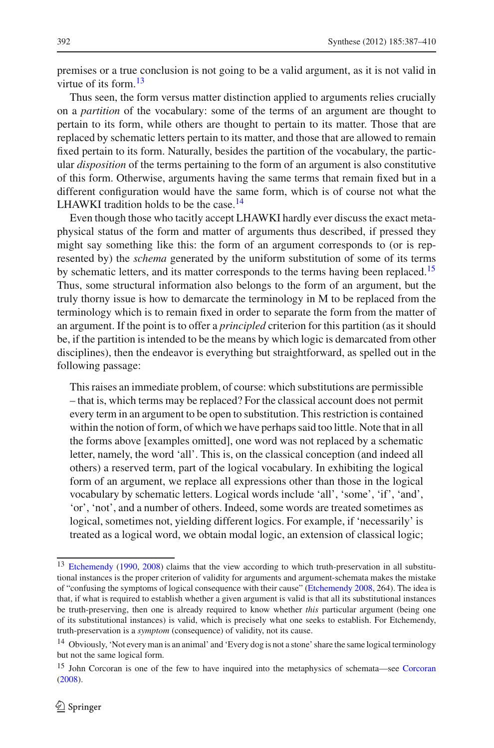premises or a true conclusion is not going to be a valid argument, as it is not valid in virtue of its form.<sup>[13](#page-5-0)</sup>

Thus seen, the form versus matter distinction applied to arguments relies crucially on a *partition* of the vocabulary: some of the terms of an argument are thought to pertain to its form, while others are thought to pertain to its matter. Those that are replaced by schematic letters pertain to its matter, and those that are allowed to remain fixed pertain to its form. Naturally, besides the partition of the vocabulary, the particular *disposition* of the terms pertaining to the form of an argument is also constitutive of this form. Otherwise, arguments having the same terms that remain fixed but in a different configuration would have the same form, which is of course not what the LHAWKI tradition holds to be the case.<sup>[14](#page-5-1)</sup>

Even though those who tacitly accept LHAWKI hardly ever discuss the exact metaphysical status of the form and matter of arguments thus described, if pressed they might say something like this: the form of an argument corresponds to (or is represented by) the *schema* generated by the uniform substitution of some of its terms by schematic letters, and its matter corresponds to the terms having been replaced.<sup>[15](#page-5-2)</sup> Thus, some structural information also belongs to the form of an argument, but the truly thorny issue is how to demarcate the terminology in M to be replaced from the terminology which is to remain fixed in order to separate the form from the matter of an argument. If the point is to offer a *principled* criterion for this partition (as it should be, if the partition is intended to be the means by which logic is demarcated from other disciplines), then the endeavor is everything but straightforward, as spelled out in the following passage:

This raises an immediate problem, of course: which substitutions are permissible – that is, which terms may be replaced? For the classical account does not permit every term in an argument to be open to substitution. This restriction is contained within the notion of form, of which we have perhaps said too little. Note that in all the forms above [examples omitted], one word was not replaced by a schematic letter, namely, the word 'all'. This is, on the classical conception (and indeed all others) a reserved term, part of the logical vocabulary. In exhibiting the logical form of an argument, we replace all expressions other than those in the logical vocabulary by schematic letters. Logical words include 'all', 'some', 'if', 'and', 'or', 'not', and a number of others. Indeed, some words are treated sometimes as logical, sometimes not, yielding different logics. For example, if 'necessarily' is treated as a logical word, we obtain modal logic, an extension of classical logic;

<span id="page-5-0"></span><sup>13</sup> [Etchemendy](#page-23-6) [\(1990](#page-23-6), [2008\)](#page-23-9) claims that the view according to which truth-preservation in all substitutional instances is the proper criterion of validity for arguments and argument-schemata makes the mistake of "confusing the symptoms of logical consequence with their cause" [\(Etchemendy 2008,](#page-23-9) 264). The idea is that, if what is required to establish whether a given argument is valid is that all its substitutional instances be truth-preserving, then one is already required to know whether *this* particular argument (being one of its substitutional instances) is valid, which is precisely what one seeks to establish. For Etchemendy, truth-preservation is a *symptom* (consequence) of validity, not its cause.

<span id="page-5-1"></span><sup>&</sup>lt;sup>14</sup> Obviously, 'Not every man is an animal' and 'Every dog is not a stone' share the same logical terminology but not the same logical form.

<span id="page-5-2"></span><sup>15</sup> John Corcoran is one of the few to have inquired into the metaphysics of schemata—see [Corcoran](#page-23-10) [\(2008](#page-23-10)).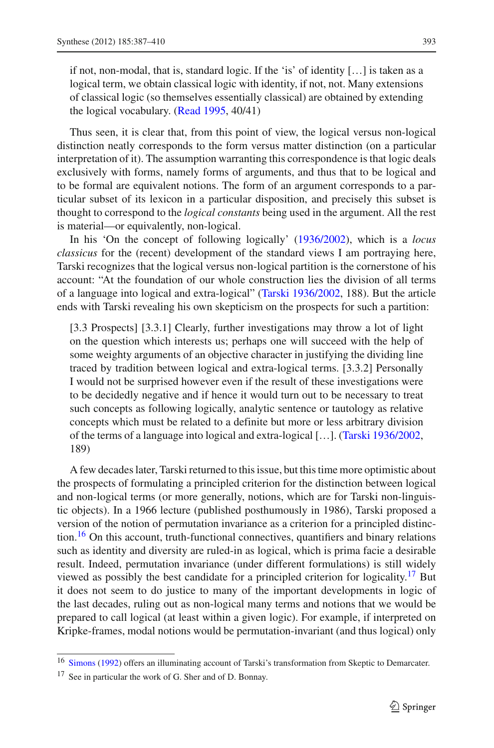if not, non-modal, that is, standard logic. If the 'is' of identity […] is taken as a logical term, we obtain classical logic with identity, if not, not. Many extensions of classical logic (so themselves essentially classical) are obtained by extending the logical vocabulary. [\(Read 1995,](#page-23-5) 40/41)

Thus seen, it is clear that, from this point of view, the logical versus non-logical distinction neatly corresponds to the form versus matter distinction (on a particular interpretation of it). The assumption warranting this correspondence is that logic deals exclusively with forms, namely forms of arguments, and thus that to be logical and to be formal are equivalent notions. The form of an argument corresponds to a particular subset of its lexicon in a particular disposition, and precisely this subset is thought to correspond to the *logical constants* being used in the argument. All the rest is material—or equivalently, non-logical.

In his 'On the concept of following logically' [\(1936/2002\)](#page-23-11), which is a *locus classicus* for the (recent) development of the standard views I am portraying here, Tarski recognizes that the logical versus non-logical partition is the cornerstone of his account: "At the foundation of our whole construction lies the division of all terms of a language into logical and extra-logical" [\(Tarski 1936/2002,](#page-23-11) 188). But the article ends with Tarski revealing his own skepticism on the prospects for such a partition:

[3.3 Prospects] [3.3.1] Clearly, further investigations may throw a lot of light on the question which interests us; perhaps one will succeed with the help of some weighty arguments of an objective character in justifying the dividing line traced by tradition between logical and extra-logical terms. [3.3.2] Personally I would not be surprised however even if the result of these investigations were to be decidedly negative and if hence it would turn out to be necessary to treat such concepts as following logically, analytic sentence or tautology as relative concepts which must be related to a definite but more or less arbitrary division of the terms of a language into logical and extra-logical […]. [\(Tarski 1936/2002](#page-23-11), 189)

A few decades later, Tarski returned to this issue, but this time more optimistic about the prospects of formulating a principled criterion for the distinction between logical and non-logical terms (or more generally, notions, which are for Tarski non-linguistic objects). In a 1966 lecture (published posthumously in 1986), Tarski proposed a version of the notion of permutation invariance as a criterion for a principled distinc-tion.<sup>[16](#page-6-0)</sup> On this account, truth-functional connectives, quantifiers and binary relations such as identity and diversity are ruled-in as logical, which is prima facie a desirable result. Indeed, permutation invariance (under different formulations) is still widely viewed as possibly the best candidate for a principled criterion for logicality.<sup>17</sup> But it does not seem to do justice to many of the important developments in logic of the last decades, ruling out as non-logical many terms and notions that we would be prepared to call logical (at least within a given logic). For example, if interpreted on Kripke-frames, modal notions would be permutation-invariant (and thus logical) only

<sup>16</sup> [Simons](#page-23-12) [\(1992\)](#page-23-12) offers an illuminating account of Tarski's transformation from Skeptic to Demarcater.

<span id="page-6-1"></span><span id="page-6-0"></span><sup>&</sup>lt;sup>17</sup> See in particular the work of G. Sher and of D. Bonnay.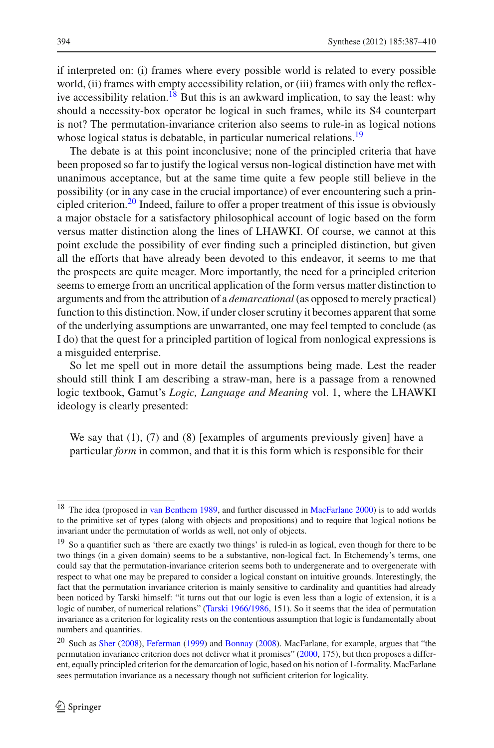if interpreted on: (i) frames where every possible world is related to every possible world, (ii) frames with empty accessibility relation, or (iii) frames with only the reflex-ive accessibility relation.<sup>[18](#page-7-0)</sup> But this is an awkward implication, to say the least: why should a necessity-box operator be logical in such frames, while its S4 counterpart is not? The permutation-invariance criterion also seems to rule-in as logical notions whose logical status is debatable, in particular numerical relations.<sup>19</sup>

The debate is at this point inconclusive; none of the principled criteria that have been proposed so far to justify the logical versus non-logical distinction have met with unanimous acceptance, but at the same time quite a few people still believe in the possibility (or in any case in the crucial importance) of ever encountering such a prin-cipled criterion.<sup>[20](#page-7-2)</sup> Indeed, failure to offer a proper treatment of this issue is obviously a major obstacle for a satisfactory philosophical account of logic based on the form versus matter distinction along the lines of LHAWKI. Of course, we cannot at this point exclude the possibility of ever finding such a principled distinction, but given all the efforts that have already been devoted to this endeavor, it seems to me that the prospects are quite meager. More importantly, the need for a principled criterion seems to emerge from an uncritical application of the form versus matter distinction to arguments and from the attribution of a *demarcational* (as opposed to merely practical) function to this distinction. Now, if under closer scrutiny it becomes apparent that some of the underlying assumptions are unwarranted, one may feel tempted to conclude (as I do) that the quest for a principled partition of logical from nonlogical expressions is a misguided enterprise.

So let me spell out in more detail the assumptions being made. Lest the reader should still think I am describing a straw-man, here is a passage from a renowned logic textbook, Gamut's *Logic, Language and Meaning* vol. 1, where the LHAWKI ideology is clearly presented:

We say that (1), (7) and (8) [examples of arguments previously given] have a particular *form* in common, and that it is this form which is responsible for their

<span id="page-7-0"></span><sup>&</sup>lt;sup>18</sup> The idea (proposed in [van Benthem 1989,](#page-23-2) and further discussed in [MacFarlane 2000](#page-23-4)) is to add worlds to the primitive set of types (along with objects and propositions) and to require that logical notions be invariant under the permutation of worlds as well, not only of objects.

<span id="page-7-1"></span><sup>&</sup>lt;sup>19</sup> So a quantifier such as 'there are exactly two things' is ruled-in as logical, even though for there to be two things (in a given domain) seems to be a substantive, non-logical fact. In Etchemendy's terms, one could say that the permutation-invariance criterion seems both to undergenerate and to overgenerate with respect to what one may be prepared to consider a logical constant on intuitive grounds. Interestingly, the fact that the permutation invariance criterion is mainly sensitive to cardinality and quantities had already been noticed by Tarski himself: "it turns out that our logic is even less than a logic of extension, it is a logic of number, of numerical relations" [\(Tarski 1966/1986](#page-23-13), 151). So it seems that the idea of permutation invariance as a criterion for logicality rests on the contentious assumption that logic is fundamentally about numbers and quantities.

<span id="page-7-2"></span><sup>20</sup> Such as [Sher](#page-23-14) [\(2008\)](#page-23-14), [Feferman](#page-23-15) [\(1999\)](#page-23-15) and [Bonnay](#page-23-16) [\(2008](#page-23-16)). MacFarlane, for example, argues that "the permutation invariance criterion does not deliver what it promises" [\(2000,](#page-23-4) 175), but then proposes a different, equally principled criterion for the demarcation of logic, based on his notion of 1-formality. MacFarlane sees permutation invariance as a necessary though not sufficient criterion for logicality.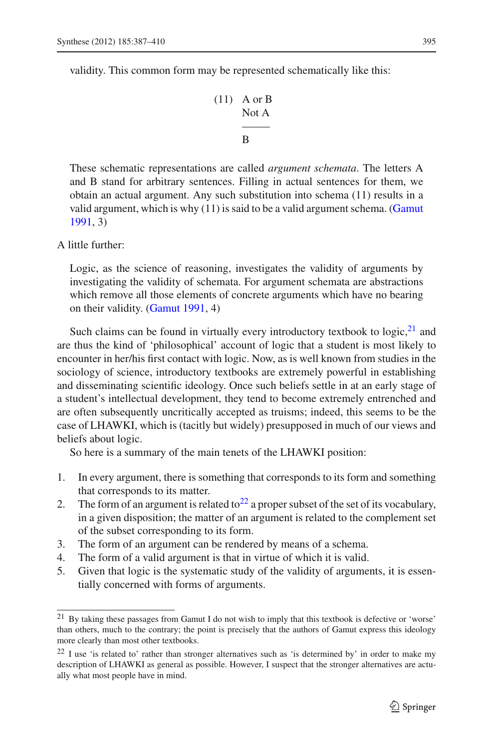validity. This common form may be represented schematically like this:

$$
\begin{array}{c}\n\text{(11)} \quad A \text{ or } B \\
\text{Not } A \\
\hline\n\end{array}
$$

These schematic representations are called *argument schemata*. The letters A and B stand for arbitrary sentences. Filling in actual sentences for them, we obtain an actual argument. Any such substitution into schema (11) results in a valid argument, which is why (11) is said to be a valid argument schema. [\(Gamut](#page-23-17) [1991,](#page-23-17) 3)

A little further:

Logic, as the science of reasoning, investigates the validity of arguments by investigating the validity of schemata. For argument schemata are abstractions which remove all those elements of concrete arguments which have no bearing on their validity. [\(Gamut 1991,](#page-23-17) 4)

Such claims can be found in virtually every introductory textbook to logic,  $2<sup>1</sup>$  and are thus the kind of 'philosophical' account of logic that a student is most likely to encounter in her/his first contact with logic. Now, as is well known from studies in the sociology of science, introductory textbooks are extremely powerful in establishing and disseminating scientific ideology. Once such beliefs settle in at an early stage of a student's intellectual development, they tend to become extremely entrenched and are often subsequently uncritically accepted as truisms; indeed, this seems to be the case of LHAWKI, which is (tacitly but widely) presupposed in much of our views and beliefs about logic.

So here is a summary of the main tenets of the LHAWKI position:

- 1. In every argument, there is something that corresponds to its form and something that corresponds to its matter.
- 2. The form of an argument is related to<sup>22</sup> a proper subset of the set of its vocabulary, in a given disposition; the matter of an argument is related to the complement set of the subset corresponding to its form.
- 3. The form of an argument can be rendered by means of a schema.
- 4. The form of a valid argument is that in virtue of which it is valid.
- 5. Given that logic is the systematic study of the validity of arguments, it is essentially concerned with forms of arguments.

<span id="page-8-0"></span><sup>&</sup>lt;sup>21</sup> By taking these passages from Gamut I do not wish to imply that this textbook is defective or 'worse' than others, much to the contrary; the point is precisely that the authors of Gamut express this ideology more clearly than most other textbooks.

<span id="page-8-1"></span><sup>&</sup>lt;sup>22</sup> I use 'is related to' rather than stronger alternatives such as 'is determined by' in order to make my description of LHAWKI as general as possible. However, I suspect that the stronger alternatives are actually what most people have in mind.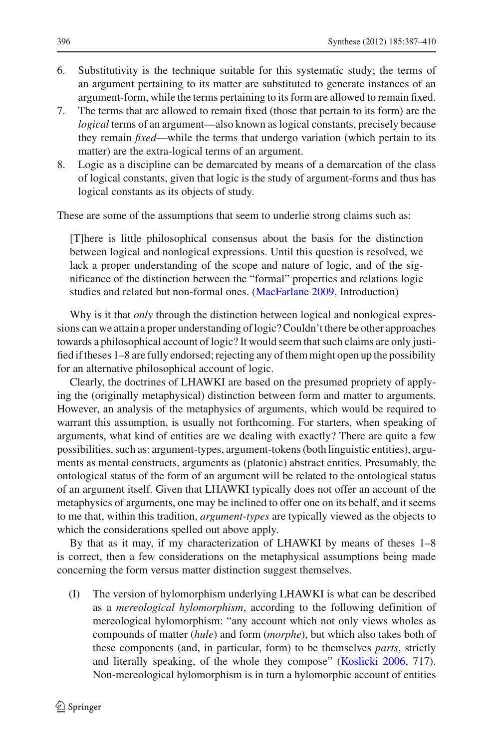- 6. Substitutivity is the technique suitable for this systematic study; the terms of an argument pertaining to its matter are substituted to generate instances of an argument-form, while the terms pertaining to its form are allowed to remain fixed.
- 7. The terms that are allowed to remain fixed (those that pertain to its form) are the *logical* terms of an argument—also known as logical constants, precisely because they remain *fixed*—while the terms that undergo variation (which pertain to its matter) are the extra-logical terms of an argument.
- 8. Logic as a discipline can be demarcated by means of a demarcation of the class of logical constants, given that logic is the study of argument-forms and thus has logical constants as its objects of study.

These are some of the assumptions that seem to underlie strong claims such as:

[T]here is little philosophical consensus about the basis for the distinction between logical and nonlogical expressions. Until this question is resolved, we lack a proper understanding of the scope and nature of logic, and of the significance of the distinction between the "formal" properties and relations logic studies and related but non-formal ones. [\(MacFarlane 2009](#page-23-0), Introduction)

Why is it that *only* through the distinction between logical and nonlogical expressions can we attain a proper understanding of logic? Couldn't there be other approaches towards a philosophical account of logic? It would seem that such claims are only justified if theses 1–8 are fully endorsed; rejecting any of them might open up the possibility for an alternative philosophical account of logic.

Clearly, the doctrines of LHAWKI are based on the presumed propriety of applying the (originally metaphysical) distinction between form and matter to arguments. However, an analysis of the metaphysics of arguments, which would be required to warrant this assumption, is usually not forthcoming. For starters, when speaking of arguments, what kind of entities are we dealing with exactly? There are quite a few possibilities, such as: argument-types, argument-tokens (both linguistic entities), arguments as mental constructs, arguments as (platonic) abstract entities. Presumably, the ontological status of the form of an argument will be related to the ontological status of an argument itself. Given that LHAWKI typically does not offer an account of the metaphysics of arguments, one may be inclined to offer one on its behalf, and it seems to me that, within this tradition, *argument-types* are typically viewed as the objects to which the considerations spelled out above apply.

By that as it may, if my characterization of LHAWKI by means of theses 1–8 is correct, then a few considerations on the metaphysical assumptions being made concerning the form versus matter distinction suggest themselves.

(I) The version of hylomorphism underlying LHAWKI is what can be described as a *mereological hylomorphism*, according to the following definition of mereological hylomorphism: "any account which not only views wholes as compounds of matter (*hule*) and form (*morphe*), but which also takes both of these components (and, in particular, form) to be themselves *parts*, strictly and literally speaking, of the whole they compose" [\(Koslicki 2006,](#page-23-18) 717). Non-mereological hylomorphism is in turn a hylomorphic account of entities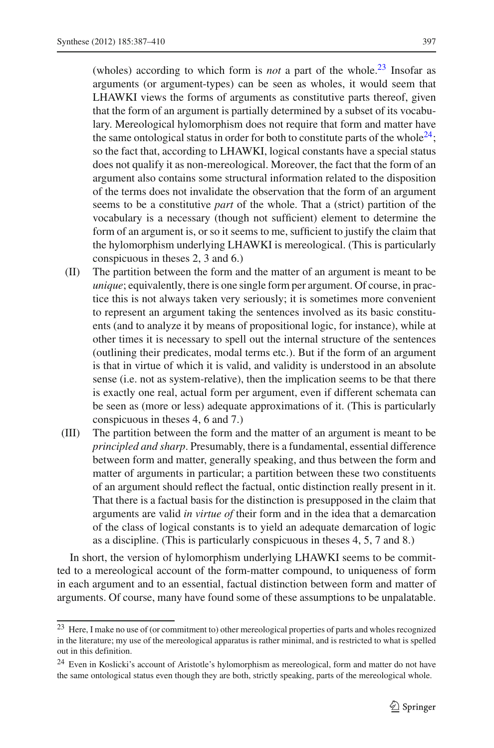(wholes) according to which form is *not* a part of the whole.<sup>[23](#page-10-0)</sup> Insofar as arguments (or argument-types) can be seen as wholes, it would seem that LHAWKI views the forms of arguments as constitutive parts thereof, given that the form of an argument is partially determined by a subset of its vocabulary. Mereological hylomorphism does not require that form and matter have the same ontological status in order for both to constitute parts of the whole<sup>24</sup>; so the fact that, according to LHAWKI, logical constants have a special status does not qualify it as non-mereological. Moreover, the fact that the form of an argument also contains some structural information related to the disposition of the terms does not invalidate the observation that the form of an argument seems to be a constitutive *part* of the whole. That a (strict) partition of the vocabulary is a necessary (though not sufficient) element to determine the form of an argument is, or so it seems to me, sufficient to justify the claim that the hylomorphism underlying LHAWKI is mereological. (This is particularly conspicuous in theses 2, 3 and 6.)

- (II) The partition between the form and the matter of an argument is meant to be *unique*; equivalently, there is one single form per argument. Of course, in practice this is not always taken very seriously; it is sometimes more convenient to represent an argument taking the sentences involved as its basic constituents (and to analyze it by means of propositional logic, for instance), while at other times it is necessary to spell out the internal structure of the sentences (outlining their predicates, modal terms etc.). But if the form of an argument is that in virtue of which it is valid, and validity is understood in an absolute sense (i.e. not as system-relative), then the implication seems to be that there is exactly one real, actual form per argument, even if different schemata can be seen as (more or less) adequate approximations of it. (This is particularly conspicuous in theses 4, 6 and 7.)
- (III) The partition between the form and the matter of an argument is meant to be *principled and sharp*. Presumably, there is a fundamental, essential difference between form and matter, generally speaking, and thus between the form and matter of arguments in particular; a partition between these two constituents of an argument should reflect the factual, ontic distinction really present in it. That there is a factual basis for the distinction is presupposed in the claim that arguments are valid *in virtue of* their form and in the idea that a demarcation of the class of logical constants is to yield an adequate demarcation of logic as a discipline. (This is particularly conspicuous in theses 4, 5, 7 and 8.)

In short, the version of hylomorphism underlying LHAWKI seems to be committed to a mereological account of the form-matter compound, to uniqueness of form in each argument and to an essential, factual distinction between form and matter of arguments. Of course, many have found some of these assumptions to be unpalatable.

<span id="page-10-0"></span><sup>23</sup> Here, I make no use of (or commitment to) other mereological properties of parts and wholes recognized in the literature; my use of the mereological apparatus is rather minimal, and is restricted to what is spelled out in this definition.

<span id="page-10-1"></span><sup>&</sup>lt;sup>24</sup> Even in Koslicki's account of Aristotle's hylomorphism as mereological, form and matter do not have the same ontological status even though they are both, strictly speaking, parts of the mereological whole.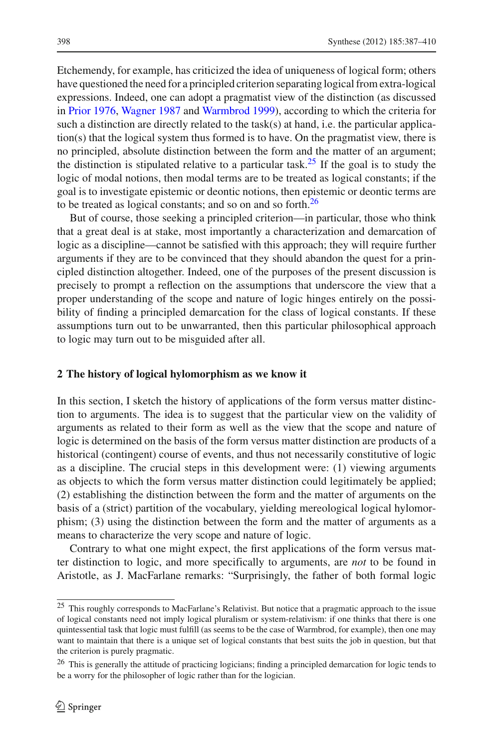Etchemendy, for example, has criticized the idea of uniqueness of logical form; others have questioned the need for a principled criterion separating logical from extra-logical expressions. Indeed, one can adopt a pragmatist view of the distinction (as discussed in [Prior 1976](#page-23-19), [Wagner 1987](#page-23-20) and [Warmbrod 1999\)](#page-23-21), according to which the criteria for such a distinction are directly related to the task(s) at hand, i.e. the particular application(s) that the logical system thus formed is to have. On the pragmatist view, there is no principled, absolute distinction between the form and the matter of an argument; the distinction is stipulated relative to a particular task.<sup>[25](#page-11-1)</sup> If the goal is to study the logic of modal notions, then modal terms are to be treated as logical constants; if the goal is to investigate epistemic or deontic notions, then epistemic or deontic terms are to be treated as logical constants; and so on and so forth. $^{26}$ 

But of course, those seeking a principled criterion—in particular, those who think that a great deal is at stake, most importantly a characterization and demarcation of logic as a discipline—cannot be satisfied with this approach; they will require further arguments if they are to be convinced that they should abandon the quest for a principled distinction altogether. Indeed, one of the purposes of the present discussion is precisely to prompt a reflection on the assumptions that underscore the view that a proper understanding of the scope and nature of logic hinges entirely on the possibility of finding a principled demarcation for the class of logical constants. If these assumptions turn out to be unwarranted, then this particular philosophical approach to logic may turn out to be misguided after all.

### <span id="page-11-0"></span>**2 The history of logical hylomorphism as we know it**

In this section, I sketch the history of applications of the form versus matter distinction to arguments. The idea is to suggest that the particular view on the validity of arguments as related to their form as well as the view that the scope and nature of logic is determined on the basis of the form versus matter distinction are products of a historical (contingent) course of events, and thus not necessarily constitutive of logic as a discipline. The crucial steps in this development were: (1) viewing arguments as objects to which the form versus matter distinction could legitimately be applied; (2) establishing the distinction between the form and the matter of arguments on the basis of a (strict) partition of the vocabulary, yielding mereological logical hylomorphism; (3) using the distinction between the form and the matter of arguments as a means to characterize the very scope and nature of logic.

Contrary to what one might expect, the first applications of the form versus matter distinction to logic, and more specifically to arguments, are *not* to be found in Aristotle, as J. MacFarlane remarks: "Surprisingly, the father of both formal logic

<span id="page-11-1"></span><sup>25</sup> This roughly corresponds to MacFarlane's Relativist. But notice that a pragmatic approach to the issue of logical constants need not imply logical pluralism or system-relativism: if one thinks that there is one quintessential task that logic must fulfill (as seems to be the case of Warmbrod, for example), then one may want to maintain that there is a unique set of logical constants that best suits the job in question, but that the criterion is purely pragmatic.

<span id="page-11-2"></span><sup>&</sup>lt;sup>26</sup> This is generally the attitude of practicing logicians; finding a principled demarcation for logic tends to be a worry for the philosopher of logic rather than for the logician.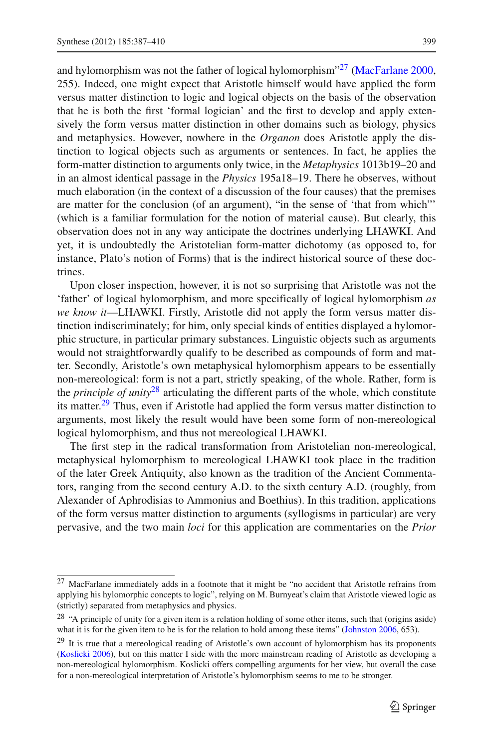and hylomorphism was not the father of logical hylomorphism"<sup>[27](#page-12-0)</sup> [\(MacFarlane 2000,](#page-23-4) 255). Indeed, one might expect that Aristotle himself would have applied the form versus matter distinction to logic and logical objects on the basis of the observation that he is both the first 'formal logician' and the first to develop and apply extensively the form versus matter distinction in other domains such as biology, physics and metaphysics. However, nowhere in the *Organon* does Aristotle apply the distinction to logical objects such as arguments or sentences. In fact, he applies the form-matter distinction to arguments only twice, in the *Metaphysics* 1013b19–20 and in an almost identical passage in the *Physics* 195a18–19. There he observes, without much elaboration (in the context of a discussion of the four causes) that the premises are matter for the conclusion (of an argument), "in the sense of 'that from which"' (which is a familiar formulation for the notion of material cause). But clearly, this observation does not in any way anticipate the doctrines underlying LHAWKI. And yet, it is undoubtedly the Aristotelian form-matter dichotomy (as opposed to, for instance, Plato's notion of Forms) that is the indirect historical source of these doctrines.

Upon closer inspection, however, it is not so surprising that Aristotle was not the 'father' of logical hylomorphism, and more specifically of logical hylomorphism *as we know it*—LHAWKI. Firstly, Aristotle did not apply the form versus matter distinction indiscriminately; for him, only special kinds of entities displayed a hylomorphic structure, in particular primary substances. Linguistic objects such as arguments would not straightforwardly qualify to be described as compounds of form and matter. Secondly, Aristotle's own metaphysical hylomorphism appears to be essentially non-mereological: form is not a part, strictly speaking, of the whole. Rather, form is the *principle of unity*[28](#page-12-1) articulating the different parts of the whole, which constitute its matter.[29](#page-12-2) Thus, even if Aristotle had applied the form versus matter distinction to arguments, most likely the result would have been some form of non-mereological logical hylomorphism, and thus not mereological LHAWKI.

The first step in the radical transformation from Aristotelian non-mereological, metaphysical hylomorphism to mereological LHAWKI took place in the tradition of the later Greek Antiquity, also known as the tradition of the Ancient Commentators, ranging from the second century A.D. to the sixth century A.D. (roughly, from Alexander of Aphrodisias to Ammonius and Boethius). In this tradition, applications of the form versus matter distinction to arguments (syllogisms in particular) are very pervasive, and the two main *loci* for this application are commentaries on the *Prior*

<span id="page-12-0"></span><sup>27</sup> MacFarlane immediately adds in a footnote that it might be "no accident that Aristotle refrains from applying his hylomorphic concepts to logic", relying on M. Burnyeat's claim that Aristotle viewed logic as (strictly) separated from metaphysics and physics.

<span id="page-12-1"></span><sup>&</sup>lt;sup>28</sup> "A principle of unity for a given item is a relation holding of some other items, such that (origins aside) what it is for the given item to be is for the relation to hold among these items" [\(Johnston 2006](#page-23-22), 653).

<span id="page-12-2"></span><sup>&</sup>lt;sup>29</sup> It is true that a mereological reading of Aristotle's own account of hylomorphism has its proponents [\(Koslicki 2006](#page-23-18)), but on this matter I side with the more mainstream reading of Aristotle as developing a non-mereological hylomorphism. Koslicki offers compelling arguments for her view, but overall the case for a non-mereological interpretation of Aristotle's hylomorphism seems to me to be stronger.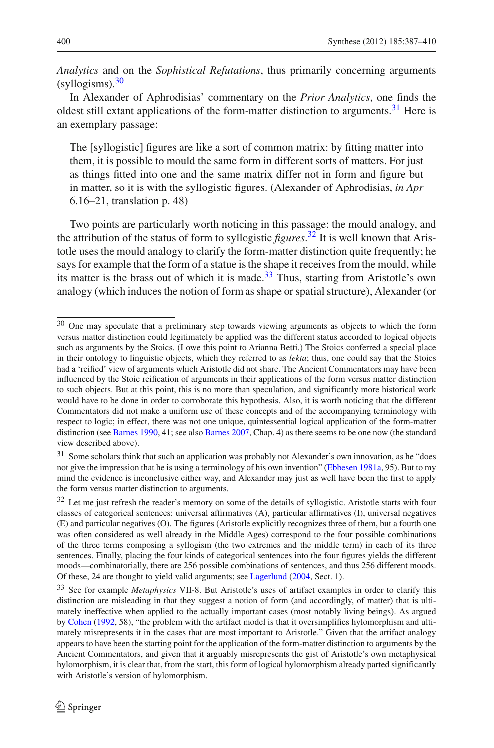*Analytics* and on the *Sophistical Refutations*, thus primarily concerning arguments  $(syllogisms).$ <sup>[30](#page-13-0)</sup>

In Alexander of Aphrodisias' commentary on the *Prior Analytics*, one finds the oldest still extant applications of the form-matter distinction to arguments.<sup>31</sup> Here is an exemplary passage:

The [syllogistic] figures are like a sort of common matrix: by fitting matter into them, it is possible to mould the same form in different sorts of matters. For just as things fitted into one and the same matrix differ not in form and figure but in matter, so it is with the syllogistic figures. (Alexander of Aphrodisias, *in Apr* 6.16–21, translation p. 48)

Two points are particularly worth noticing in this passage: the mould analogy, and the attribution of the status of form to syllogistic *figures*. [32](#page-13-2) It is well known that Aristotle uses the mould analogy to clarify the form-matter distinction quite frequently; he says for example that the form of a statue is the shape it receives from the mould, while its matter is the brass out of which it is made. $33$  Thus, starting from Aristotle's own analogy (which induces the notion of form as shape or spatial structure), Alexander (or

<span id="page-13-0"></span><sup>&</sup>lt;sup>30</sup> One may speculate that a preliminary step towards viewing arguments as objects to which the form versus matter distinction could legitimately be applied was the different status accorded to logical objects such as arguments by the Stoics. (I owe this point to Arianna Betti.) The Stoics conferred a special place in their ontology to linguistic objects, which they referred to as *lekta*; thus, one could say that the Stoics had a 'reified' view of arguments which Aristotle did not share. The Ancient Commentators may have been influenced by the Stoic reification of arguments in their applications of the form versus matter distinction to such objects. But at this point, this is no more than speculation, and significantly more historical work would have to be done in order to corroborate this hypothesis. Also, it is worth noticing that the different Commentators did not make a uniform use of these concepts and of the accompanying terminology with respect to logic; in effect, there was not one unique, quintessential logical application of the form-matter distinction (see [Barnes 1990](#page-23-23), 41; see also [Barnes 2007,](#page-23-24) Chap. 4) as there seems to be one now (the standard view described above).

<span id="page-13-1"></span><sup>&</sup>lt;sup>31</sup> Some scholars think that such an application was probably not Alexander's own innovation, as he "does not give the impression that he is using a terminology of his own invention" [\(Ebbesen 1981a](#page-23-25), 95). But to my mind the evidence is inconclusive either way, and Alexander may just as well have been the first to apply the form versus matter distinction to arguments.

<span id="page-13-2"></span> $32$  Let me just refresh the reader's memory on some of the details of syllogistic. Aristotle starts with four classes of categorical sentences: universal affirmatives (A), particular affirmatives (I), universal negatives (E) and particular negatives (O). The figures (Aristotle explicitly recognizes three of them, but a fourth one was often considered as well already in the Middle Ages) correspond to the four possible combinations of the three terms composing a syllogism (the two extremes and the middle term) in each of its three sentences. Finally, placing the four kinds of categorical sentences into the four figures yields the different moods—combinatorially, there are 256 possible combinations of sentences, and thus 256 different moods. Of these, 24 are thought to yield valid arguments; see [Lagerlund](#page-23-26) [\(2004](#page-23-26), Sect. 1).

<span id="page-13-3"></span><sup>33</sup> See for example *Metaphysics* VII-8. But Aristotle's uses of artifact examples in order to clarify this distinction are misleading in that they suggest a notion of form (and accordingly, of matter) that is ultimately ineffective when applied to the actually important cases (most notably living beings). As argued by [Cohen](#page-23-27) [\(1992](#page-23-27), 58), "the problem with the artifact model is that it oversimplifies hylomorphism and ultimately misrepresents it in the cases that are most important to Aristotle." Given that the artifact analogy appears to have been the starting point for the application of the form-matter distinction to arguments by the Ancient Commentators, and given that it arguably misrepresents the gist of Aristotle's own metaphysical hylomorphism, it is clear that, from the start, this form of logical hylomorphism already parted significantly with Aristotle's version of hylomorphism.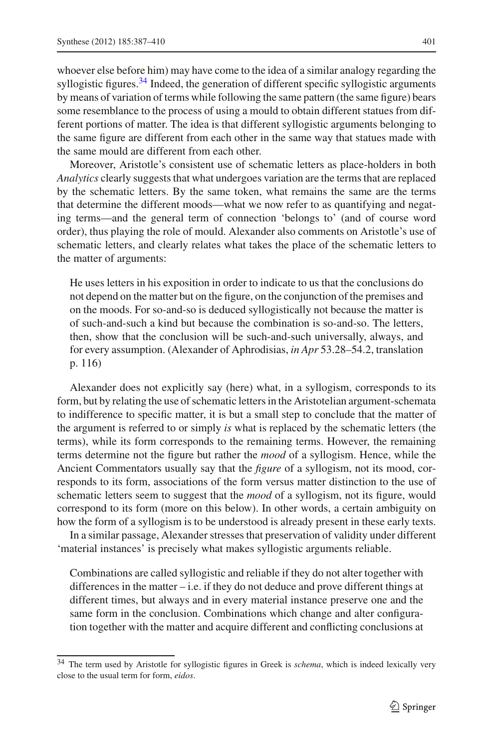whoever else before him) may have come to the idea of a similar analogy regarding the syllogistic figures.<sup>34</sup> Indeed, the generation of different specific syllogistic arguments by means of variation of terms while following the same pattern (the same figure) bears some resemblance to the process of using a mould to obtain different statues from different portions of matter. The idea is that different syllogistic arguments belonging to the same figure are different from each other in the same way that statues made with the same mould are different from each other.

Moreover, Aristotle's consistent use of schematic letters as place-holders in both *Analytics* clearly suggests that what undergoes variation are the terms that are replaced by the schematic letters. By the same token, what remains the same are the terms that determine the different moods—what we now refer to as quantifying and negating terms—and the general term of connection 'belongs to' (and of course word order), thus playing the role of mould. Alexander also comments on Aristotle's use of schematic letters, and clearly relates what takes the place of the schematic letters to the matter of arguments:

He uses letters in his exposition in order to indicate to us that the conclusions do not depend on the matter but on the figure, on the conjunction of the premises and on the moods. For so-and-so is deduced syllogistically not because the matter is of such-and-such a kind but because the combination is so-and-so. The letters, then, show that the conclusion will be such-and-such universally, always, and for every assumption. (Alexander of Aphrodisias, *in Apr* 53.28–54.2, translation p. 116)

Alexander does not explicitly say (here) what, in a syllogism, corresponds to its form, but by relating the use of schematic letters in the Aristotelian argument-schemata to indifference to specific matter, it is but a small step to conclude that the matter of the argument is referred to or simply *is* what is replaced by the schematic letters (the terms), while its form corresponds to the remaining terms. However, the remaining terms determine not the figure but rather the *mood* of a syllogism. Hence, while the Ancient Commentators usually say that the *figure* of a syllogism, not its mood, corresponds to its form, associations of the form versus matter distinction to the use of schematic letters seem to suggest that the *mood* of a syllogism, not its figure, would correspond to its form (more on this below). In other words, a certain ambiguity on how the form of a syllogism is to be understood is already present in these early texts.

In a similar passage, Alexander stresses that preservation of validity under different 'material instances' is precisely what makes syllogistic arguments reliable.

Combinations are called syllogistic and reliable if they do not alter together with differences in the matter – i.e. if they do not deduce and prove different things at different times, but always and in every material instance preserve one and the same form in the conclusion. Combinations which change and alter configuration together with the matter and acquire different and conflicting conclusions at

<span id="page-14-0"></span><sup>34</sup> The term used by Aristotle for syllogistic figures in Greek is *schema*, which is indeed lexically very close to the usual term for form, *eidos*.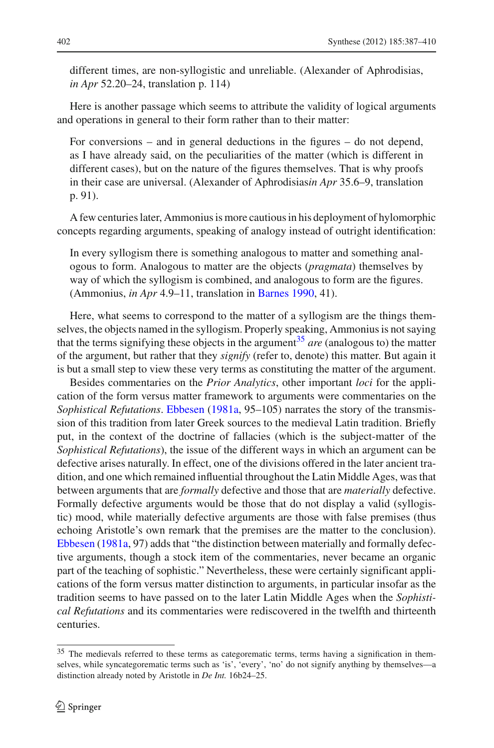different times, are non-syllogistic and unreliable. (Alexander of Aphrodisias, *in Apr* 52.20–24, translation p. 114)

Here is another passage which seems to attribute the validity of logical arguments and operations in general to their form rather than to their matter:

For conversions – and in general deductions in the figures – do not depend, as I have already said, on the peculiarities of the matter (which is different in different cases), but on the nature of the figures themselves. That is why proofs in their case are universal. (Alexander of Aphrodisias*in Apr* 35.6–9, translation p. 91).

A few centuries later, Ammonius is more cautious in his deployment of hylomorphic concepts regarding arguments, speaking of analogy instead of outright identification:

In every syllogism there is something analogous to matter and something analogous to form. Analogous to matter are the objects (*pragmata*) themselves by way of which the syllogism is combined, and analogous to form are the figures. (Ammonius, *in Apr* 4.9–11, translation in [Barnes 1990,](#page-23-23) 41).

Here, what seems to correspond to the matter of a syllogism are the things themselves, the objects named in the syllogism. Properly speaking, Ammonius is not saying that the terms signifying these objects in the argument<sup>[35](#page-15-0)</sup> *are* (analogous to) the matter of the argument, but rather that they *signify* (refer to, denote) this matter. But again it is but a small step to view these very terms as constituting the matter of the argument.

Besides commentaries on the *Prior Analytics*, other important *loci* for the application of the form versus matter framework to arguments were commentaries on the *Sophistical Refutations*. [Ebbesen](#page-23-25) [\(1981a](#page-23-25), 95–105) narrates the story of the transmission of this tradition from later Greek sources to the medieval Latin tradition. Briefly put, in the context of the doctrine of fallacies (which is the subject-matter of the *Sophistical Refutations*), the issue of the different ways in which an argument can be defective arises naturally. In effect, one of the divisions offered in the later ancient tradition, and one which remained influential throughout the Latin Middle Ages, was that between arguments that are *formally* defective and those that are *materially* defective. Formally defective arguments would be those that do not display a valid (syllogistic) mood, while materially defective arguments are those with false premises (thus echoing Aristotle's own remark that the premises are the matter to the conclusion). [Ebbesen](#page-23-25) [\(1981a](#page-23-25), 97) adds that "the distinction between materially and formally defective arguments, though a stock item of the commentaries, never became an organic part of the teaching of sophistic." Nevertheless, these were certainly significant applications of the form versus matter distinction to arguments, in particular insofar as the tradition seems to have passed on to the later Latin Middle Ages when the *Sophistical Refutations* and its commentaries were rediscovered in the twelfth and thirteenth centuries.

<span id="page-15-0"></span><sup>&</sup>lt;sup>35</sup> The medievals referred to these terms as categorematic terms, terms having a signification in themselves, while syncategorematic terms such as 'is', 'every', 'no' do not signify anything by themselves—a distinction already noted by Aristotle in *De Int.* 16b24–25.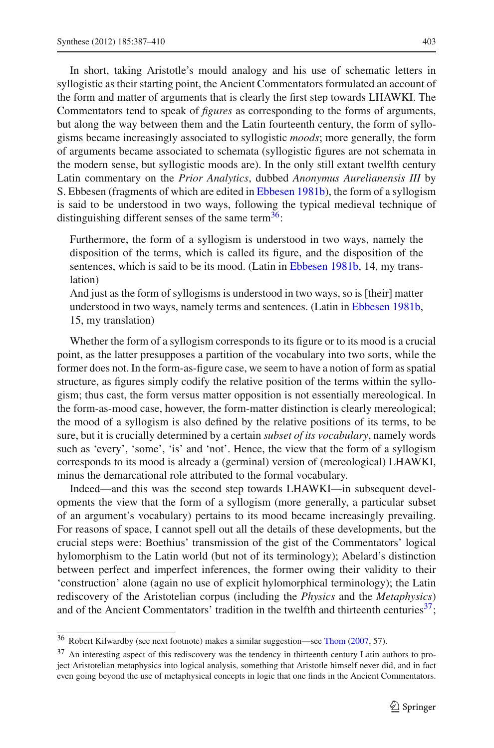In short, taking Aristotle's mould analogy and his use of schematic letters in syllogistic as their starting point, the Ancient Commentators formulated an account of the form and matter of arguments that is clearly the first step towards LHAWKI. The Commentators tend to speak of *figures* as corresponding to the forms of arguments, but along the way between them and the Latin fourteenth century, the form of syllogisms became increasingly associated to syllogistic *moods*; more generally, the form of arguments became associated to schemata (syllogistic figures are not schemata in the modern sense, but syllogistic moods are). In the only still extant twelfth century Latin commentary on the *Prior Analytics*, dubbed *Anonymus Aurelianensis III* by S. Ebbesen (fragments of which are edited in [Ebbesen 1981b](#page-23-28)), the form of a syllogism is said to be understood in two ways, following the typical medieval technique of distinguishing different senses of the same term<sup>36</sup>:

Furthermore, the form of a syllogism is understood in two ways, namely the disposition of the terms, which is called its figure, and the disposition of the sentences, which is said to be its mood. (Latin in [Ebbesen 1981b](#page-23-28), 14, my translation)

And just as the form of syllogisms is understood in two ways, so is [their] matter understood in two ways, namely terms and sentences. (Latin in [Ebbesen 1981b](#page-23-28), 15, my translation)

Whether the form of a syllogism corresponds to its figure or to its mood is a crucial point, as the latter presupposes a partition of the vocabulary into two sorts, while the former does not. In the form-as-figure case, we seem to have a notion of form as spatial structure, as figures simply codify the relative position of the terms within the syllogism; thus cast, the form versus matter opposition is not essentially mereological. In the form-as-mood case, however, the form-matter distinction is clearly mereological; the mood of a syllogism is also defined by the relative positions of its terms, to be sure, but it is crucially determined by a certain *subset of its vocabulary*, namely words such as 'every', 'some', 'is' and 'not'. Hence, the view that the form of a syllogism corresponds to its mood is already a (germinal) version of (mereological) LHAWKI, minus the demarcational role attributed to the formal vocabulary.

Indeed—and this was the second step towards LHAWKI—in subsequent developments the view that the form of a syllogism (more generally, a particular subset of an argument's vocabulary) pertains to its mood became increasingly prevailing. For reasons of space, I cannot spell out all the details of these developments, but the crucial steps were: Boethius' transmission of the gist of the Commentators' logical hylomorphism to the Latin world (but not of its terminology); Abelard's distinction between perfect and imperfect inferences, the former owing their validity to their 'construction' alone (again no use of explicit hylomorphical terminology); the Latin rediscovery of the Aristotelian corpus (including the *Physics* and the *Metaphysics*) and of the Ancient Commentators' tradition in the twelfth and thirteenth centuries<sup>37</sup>;

<sup>36</sup> Robert Kilwardby (see next footnote) makes a similar suggestion—see [Thom](#page-23-29) [\(2007](#page-23-29), 57).

<span id="page-16-1"></span><span id="page-16-0"></span><sup>&</sup>lt;sup>37</sup> An interesting aspect of this rediscovery was the tendency in thirteenth century Latin authors to project Aristotelian metaphysics into logical analysis, something that Aristotle himself never did, and in fact even going beyond the use of metaphysical concepts in logic that one finds in the Ancient Commentators.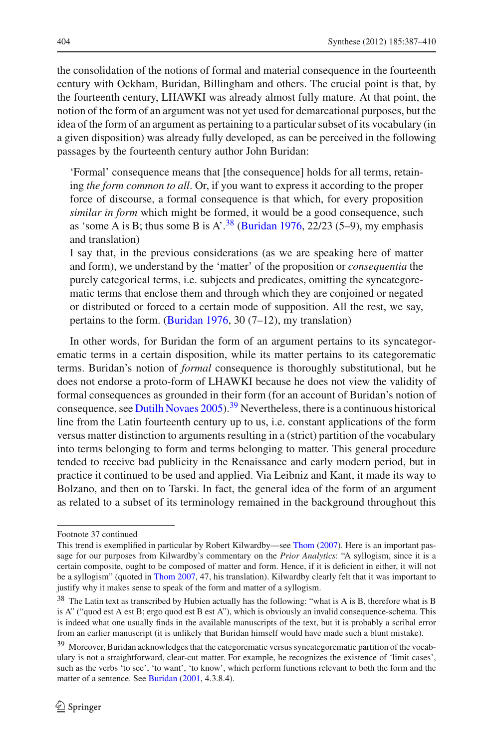the consolidation of the notions of formal and material consequence in the fourteenth century with Ockham, Buridan, Billingham and others. The crucial point is that, by the fourteenth century, LHAWKI was already almost fully mature. At that point, the notion of the form of an argument was not yet used for demarcational purposes, but the idea of the form of an argument as pertaining to a particular subset of its vocabulary (in a given disposition) was already fully developed, as can be perceived in the following passages by the fourteenth century author John Buridan:

'Formal' consequence means that [the consequence] holds for all terms, retaining *the form common to all*. Or, if you want to express it according to the proper force of discourse, a formal consequence is that which, for every proposition *similar in form* which might be formed, it would be a good consequence, such as 'some A is B; thus some B is  $A^{38}$  $A^{38}$  $A^{38}$  [\(Buridan 1976,](#page-23-30) 22/23 (5–9), my emphasis and translation)

I say that, in the previous considerations (as we are speaking here of matter and form), we understand by the 'matter' of the proposition or *consequentia* the purely categorical terms, i.e. subjects and predicates, omitting the syncategorematic terms that enclose them and through which they are conjoined or negated or distributed or forced to a certain mode of supposition. All the rest, we say, pertains to the form. [\(Buridan 1976](#page-23-30), 30  $(7-12)$ , my translation)

In other words, for Buridan the form of an argument pertains to its syncategorematic terms in a certain disposition, while its matter pertains to its categorematic terms. Buridan's notion of *formal* consequence is thoroughly substitutional, but he does not endorse a proto-form of LHAWKI because he does not view the validity of formal consequences as grounded in their form (for an account of Buridan's notion of consequence, see Dutilh Novaes  $2005$ .<sup>[39](#page-17-1)</sup> Nevertheless, there is a continuous historical line from the Latin fourteenth century up to us, i.e. constant applications of the form versus matter distinction to arguments resulting in a (strict) partition of the vocabulary into terms belonging to form and terms belonging to matter. This general procedure tended to receive bad publicity in the Renaissance and early modern period, but in practice it continued to be used and applied. Via Leibniz and Kant, it made its way to Bolzano, and then on to Tarski. In fact, the general idea of the form of an argument as related to a subset of its terminology remained in the background throughout this

Footnote 37 continued

This trend is exemplified in particular by Robert Kilwardby—see [Thom](#page-23-29) [\(2007\)](#page-23-29). Here is an important passage for our purposes from Kilwardby's commentary on the *Prior Analytics*: "A syllogism, since it is a certain composite, ought to be composed of matter and form. Hence, if it is deficient in either, it will not be a syllogism" (quoted in [Thom 2007](#page-23-29), 47, his translation). Kilwardby clearly felt that it was important to justify why it makes sense to speak of the form and matter of a syllogism.

<span id="page-17-0"></span><sup>38</sup> The Latin text as transcribed by Hubien actually has the following: "what is A is B, therefore what is B is A" ("quod est A est B; ergo quod est B est A"), which is obviously an invalid consequence-schema. This is indeed what one usually finds in the available manuscripts of the text, but it is probably a scribal error from an earlier manuscript (it is unlikely that Buridan himself would have made such a blunt mistake).

<span id="page-17-1"></span><sup>&</sup>lt;sup>39</sup> Moreover, Buridan acknowledges that the categorematic versus syncategorematic partition of the vocabulary is not a straightforward, clear-cut matter. For example, he recognizes the existence of 'limit cases', such as the verbs 'to see', 'to want', 'to know', which perform functions relevant to both the form and the matter of a sentence. See [Buridan](#page-23-32) [\(2001](#page-23-32), 4.3.8.4).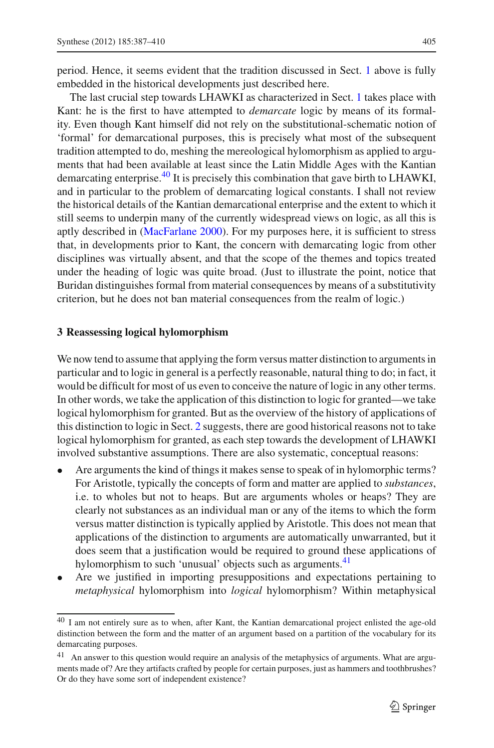period. Hence, it seems evident that the tradition discussed in Sect. [1](#page-2-0) above is fully embedded in the historical developments just described here.

The last crucial step towards LHAWKI as characterized in Sect. [1](#page-2-0) takes place with Kant: he is the first to have attempted to *demarcate* logic by means of its formality. Even though Kant himself did not rely on the substitutional-schematic notion of 'formal' for demarcational purposes, this is precisely what most of the subsequent tradition attempted to do, meshing the mereological hylomorphism as applied to arguments that had been available at least since the Latin Middle Ages with the Kantian demarcating enterprise.<sup>40</sup> It is precisely this combination that gave birth to LHAWKI, and in particular to the problem of demarcating logical constants. I shall not review the historical details of the Kantian demarcational enterprise and the extent to which it still seems to underpin many of the currently widespread views on logic, as all this is aptly described in [\(MacFarlane 2000\)](#page-23-4). For my purposes here, it is sufficient to stress that, in developments prior to Kant, the concern with demarcating logic from other disciplines was virtually absent, and that the scope of the themes and topics treated under the heading of logic was quite broad. (Just to illustrate the point, notice that Buridan distinguishes formal from material consequences by means of a substitutivity criterion, but he does not ban material consequences from the realm of logic.)

#### <span id="page-18-0"></span>**3 Reassessing logical hylomorphism**

We now tend to assume that applying the form versus matter distinction to arguments in particular and to logic in general is a perfectly reasonable, natural thing to do; in fact, it would be difficult for most of us even to conceive the nature of logic in any other terms. In other words, we take the application of this distinction to logic for granted—we take logical hylomorphism for granted. But as the overview of the history of applications of this distinction to logic in Sect. [2](#page-11-0) suggests, there are good historical reasons not to take logical hylomorphism for granted, as each step towards the development of LHAWKI involved substantive assumptions. There are also systematic, conceptual reasons:

- Are arguments the kind of things it makes sense to speak of in hylomorphic terms? For Aristotle, typically the concepts of form and matter are applied to *substances*, i.e. to wholes but not to heaps. But are arguments wholes or heaps? They are clearly not substances as an individual man or any of the items to which the form versus matter distinction is typically applied by Aristotle. This does not mean that applications of the distinction to arguments are automatically unwarranted, but it does seem that a justification would be required to ground these applications of hylomorphism to such 'unusual' objects such as arguments.<sup>41</sup>
- Are we justified in importing presuppositions and expectations pertaining to *metaphysical* hylomorphism into *logical* hylomorphism? Within metaphysical

<span id="page-18-1"></span><sup>&</sup>lt;sup>40</sup> I am not entirely sure as to when, after Kant, the Kantian demarcational project enlisted the age-old distinction between the form and the matter of an argument based on a partition of the vocabulary for its demarcating purposes.

<span id="page-18-2"></span><sup>&</sup>lt;sup>41</sup> An answer to this question would require an analysis of the metaphysics of arguments. What are arguments made of? Are they artifacts crafted by people for certain purposes, just as hammers and toothbrushes? Or do they have some sort of independent existence?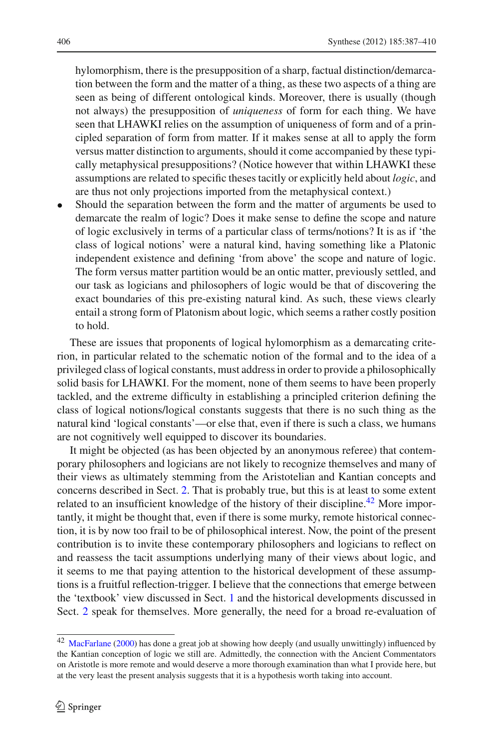hylomorphism, there is the presupposition of a sharp, factual distinction/demarcation between the form and the matter of a thing, as these two aspects of a thing are seen as being of different ontological kinds. Moreover, there is usually (though not always) the presupposition of *uniqueness* of form for each thing. We have seen that LHAWKI relies on the assumption of uniqueness of form and of a principled separation of form from matter. If it makes sense at all to apply the form versus matter distinction to arguments, should it come accompanied by these typically metaphysical presuppositions? (Notice however that within LHAWKI these assumptions are related to specific theses tacitly or explicitly held about *logic*, and are thus not only projections imported from the metaphysical context.)

Should the separation between the form and the matter of arguments be used to demarcate the realm of logic? Does it make sense to define the scope and nature of logic exclusively in terms of a particular class of terms/notions? It is as if 'the class of logical notions' were a natural kind, having something like a Platonic independent existence and defining 'from above' the scope and nature of logic. The form versus matter partition would be an ontic matter, previously settled, and our task as logicians and philosophers of logic would be that of discovering the exact boundaries of this pre-existing natural kind. As such, these views clearly entail a strong form of Platonism about logic, which seems a rather costly position to hold.

These are issues that proponents of logical hylomorphism as a demarcating criterion, in particular related to the schematic notion of the formal and to the idea of a privileged class of logical constants, must address in order to provide a philosophically solid basis for LHAWKI. For the moment, none of them seems to have been properly tackled, and the extreme difficulty in establishing a principled criterion defining the class of logical notions/logical constants suggests that there is no such thing as the natural kind 'logical constants'—or else that, even if there is such a class, we humans are not cognitively well equipped to discover its boundaries.

It might be objected (as has been objected by an anonymous referee) that contemporary philosophers and logicians are not likely to recognize themselves and many of their views as ultimately stemming from the Aristotelian and Kantian concepts and concerns described in Sect. [2.](#page-11-0) That is probably true, but this is at least to some extent related to an insufficient knowledge of the history of their discipline.<sup>42</sup> More importantly, it might be thought that, even if there is some murky, remote historical connection, it is by now too frail to be of philosophical interest. Now, the point of the present contribution is to invite these contemporary philosophers and logicians to reflect on and reassess the tacit assumptions underlying many of their views about logic, and it seems to me that paying attention to the historical development of these assumptions is a fruitful reflection-trigger. I believe that the connections that emerge between the 'textbook' view discussed in Sect. [1](#page-2-0) and the historical developments discussed in Sect. [2](#page-11-0) speak for themselves. More generally, the need for a broad re-evaluation of

<span id="page-19-0"></span><sup>42</sup> [MacFarlane](#page-23-4) [\(2000](#page-23-4)) has done a great job at showing how deeply (and usually unwittingly) influenced by the Kantian conception of logic we still are. Admittedly, the connection with the Ancient Commentators on Aristotle is more remote and would deserve a more thorough examination than what I provide here, but at the very least the present analysis suggests that it is a hypothesis worth taking into account.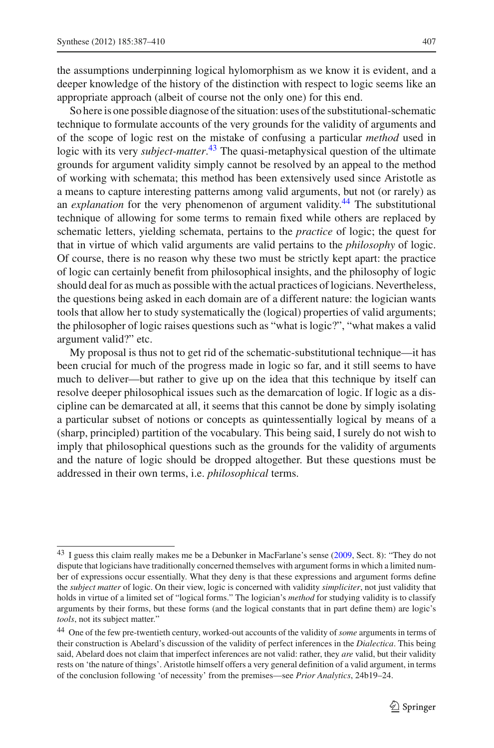the assumptions underpinning logical hylomorphism as we know it is evident, and a deeper knowledge of the history of the distinction with respect to logic seems like an appropriate approach (albeit of course not the only one) for this end.

So here is one possible diagnose of the situation: uses of the substitutional-schematic technique to formulate accounts of the very grounds for the validity of arguments and of the scope of logic rest on the mistake of confusing a particular *method* used in logic with its very *subject-matter*. [43](#page-20-0) The quasi-metaphysical question of the ultimate grounds for argument validity simply cannot be resolved by an appeal to the method of working with schemata; this method has been extensively used since Aristotle as a means to capture interesting patterns among valid arguments, but not (or rarely) as an *explanation* for the very phenomenon of argument validity.<sup>44</sup> The substitutional technique of allowing for some terms to remain fixed while others are replaced by schematic letters, yielding schemata, pertains to the *practice* of logic; the quest for that in virtue of which valid arguments are valid pertains to the *philosophy* of logic. Of course, there is no reason why these two must be strictly kept apart: the practice of logic can certainly benefit from philosophical insights, and the philosophy of logic should deal for as much as possible with the actual practices of logicians. Nevertheless, the questions being asked in each domain are of a different nature: the logician wants tools that allow her to study systematically the (logical) properties of valid arguments; the philosopher of logic raises questions such as "what is logic?", "what makes a valid argument valid?" etc.

My proposal is thus not to get rid of the schematic-substitutional technique—it has been crucial for much of the progress made in logic so far, and it still seems to have much to deliver—but rather to give up on the idea that this technique by itself can resolve deeper philosophical issues such as the demarcation of logic. If logic as a discipline can be demarcated at all, it seems that this cannot be done by simply isolating a particular subset of notions or concepts as quintessentially logical by means of a (sharp, principled) partition of the vocabulary. This being said, I surely do not wish to imply that philosophical questions such as the grounds for the validity of arguments and the nature of logic should be dropped altogether. But these questions must be addressed in their own terms, i.e. *philosophical* terms.

<span id="page-20-0"></span><sup>&</sup>lt;sup>43</sup> I guess this claim really makes me be a Debunker in MacFarlane's sense [\(2009](#page-23-0), Sect. 8): "They do not dispute that logicians have traditionally concerned themselves with argument forms in which a limited number of expressions occur essentially. What they deny is that these expressions and argument forms define the *subject matter* of logic. On their view, logic is concerned with validity *simpliciter*, not just validity that holds in virtue of a limited set of "logical forms." The logician's *method* for studying validity is to classify arguments by their forms, but these forms (and the logical constants that in part define them) are logic's *tools*, not its subject matter."

<span id="page-20-1"></span><sup>44</sup> One of the few pre-twentieth century, worked-out accounts of the validity of *some* arguments in terms of their construction is Abelard's discussion of the validity of perfect inferences in the *Dialectica*. This being said, Abelard does not claim that imperfect inferences are not valid: rather, they *are* valid, but their validity rests on 'the nature of things'. Aristotle himself offers a very general definition of a valid argument, in terms of the conclusion following 'of necessity' from the premises—see *Prior Analytics*, 24b19–24.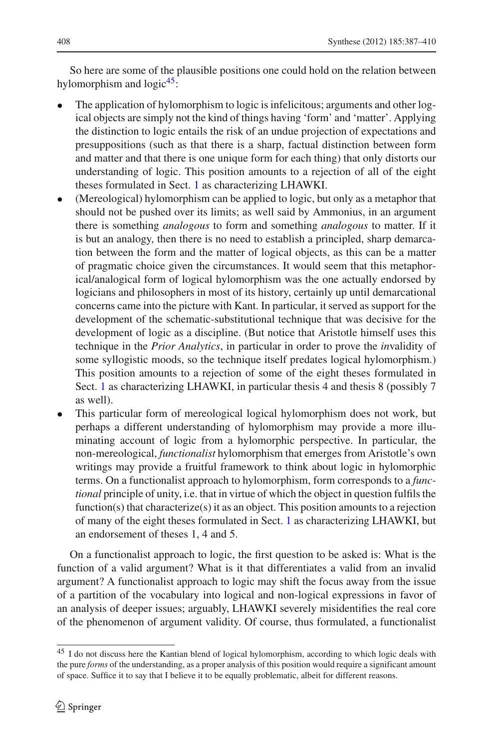So here are some of the plausible positions one could hold on the relation between hylomorphism and  $logic^{45}$ :

- The application of hylomorphism to logic is infelicitous; arguments and other logical objects are simply not the kind of things having 'form' and 'matter'. Applying the distinction to logic entails the risk of an undue projection of expectations and presuppositions (such as that there is a sharp, factual distinction between form and matter and that there is one unique form for each thing) that only distorts our understanding of logic. This position amounts to a rejection of all of the eight theses formulated in Sect. [1](#page-2-0) as characterizing LHAWKI.
- (Mereological) hylomorphism can be applied to logic, but only as a metaphor that should not be pushed over its limits; as well said by Ammonius, in an argument there is something *analogous* to form and something *analogous* to matter. If it is but an analogy, then there is no need to establish a principled, sharp demarcation between the form and the matter of logical objects, as this can be a matter of pragmatic choice given the circumstances. It would seem that this metaphorical/analogical form of logical hylomorphism was the one actually endorsed by logicians and philosophers in most of its history, certainly up until demarcational concerns came into the picture with Kant. In particular, it served as support for the development of the schematic-substitutional technique that was decisive for the development of logic as a discipline. (But notice that Aristotle himself uses this technique in the *Prior Analytics*, in particular in order to prove the *in*validity of some syllogistic moods, so the technique itself predates logical hylomorphism.) This position amounts to a rejection of some of the eight theses formulated in Sect. [1](#page-2-0) as characterizing LHAWKI, in particular thesis 4 and thesis 8 (possibly 7 as well).
- This particular form of mereological logical hylomorphism does not work, but perhaps a different understanding of hylomorphism may provide a more illuminating account of logic from a hylomorphic perspective. In particular, the non-mereological, *functionalist* hylomorphism that emerges from Aristotle's own writings may provide a fruitful framework to think about logic in hylomorphic terms. On a functionalist approach to hylomorphism, form corresponds to a *functional* principle of unity, i.e. that in virtue of which the object in question fulfils the function(s) that characterize(s) it as an object. This position amounts to a rejection of many of the eight theses formulated in Sect. [1](#page-2-0) as characterizing LHAWKI, but an endorsement of theses 1, 4 and 5.

On a functionalist approach to logic, the first question to be asked is: What is the function of a valid argument? What is it that differentiates a valid from an invalid argument? A functionalist approach to logic may shift the focus away from the issue of a partition of the vocabulary into logical and non-logical expressions in favor of an analysis of deeper issues; arguably, LHAWKI severely misidentifies the real core of the phenomenon of argument validity. Of course, thus formulated, a functionalist

<span id="page-21-0"></span><sup>45</sup> I do not discuss here the Kantian blend of logical hylomorphism, according to which logic deals with the pure *forms* of the understanding, as a proper analysis of this position would require a significant amount of space. Suffice it to say that I believe it to be equally problematic, albeit for different reasons.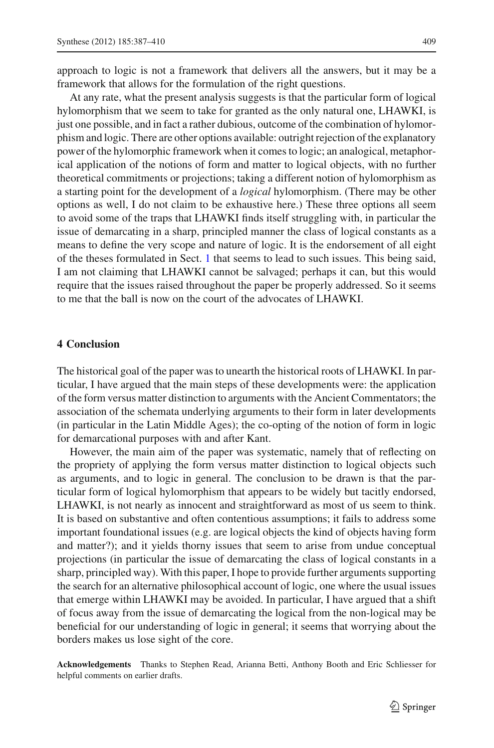approach to logic is not a framework that delivers all the answers, but it may be a framework that allows for the formulation of the right questions.

At any rate, what the present analysis suggests is that the particular form of logical hylomorphism that we seem to take for granted as the only natural one, LHAWKI, is just one possible, and in fact a rather dubious, outcome of the combination of hylomorphism and logic. There are other options available: outright rejection of the explanatory power of the hylomorphic framework when it comes to logic; an analogical, metaphorical application of the notions of form and matter to logical objects, with no further theoretical commitments or projections; taking a different notion of hylomorphism as a starting point for the development of a *logical* hylomorphism. (There may be other options as well, I do not claim to be exhaustive here.) These three options all seem to avoid some of the traps that LHAWKI finds itself struggling with, in particular the issue of demarcating in a sharp, principled manner the class of logical constants as a means to define the very scope and nature of logic. It is the endorsement of all eight of the theses formulated in Sect. [1](#page-2-0) that seems to lead to such issues. This being said, I am not claiming that LHAWKI cannot be salvaged; perhaps it can, but this would require that the issues raised throughout the paper be properly addressed. So it seems to me that the ball is now on the court of the advocates of LHAWKI.

#### **4 Conclusion**

The historical goal of the paper was to unearth the historical roots of LHAWKI. In particular, I have argued that the main steps of these developments were: the application of the form versus matter distinction to arguments with the Ancient Commentators; the association of the schemata underlying arguments to their form in later developments (in particular in the Latin Middle Ages); the co-opting of the notion of form in logic for demarcational purposes with and after Kant.

However, the main aim of the paper was systematic, namely that of reflecting on the propriety of applying the form versus matter distinction to logical objects such as arguments, and to logic in general. The conclusion to be drawn is that the particular form of logical hylomorphism that appears to be widely but tacitly endorsed, LHAWKI, is not nearly as innocent and straightforward as most of us seem to think. It is based on substantive and often contentious assumptions; it fails to address some important foundational issues (e.g. are logical objects the kind of objects having form and matter?); and it yields thorny issues that seem to arise from undue conceptual projections (in particular the issue of demarcating the class of logical constants in a sharp, principled way). With this paper, I hope to provide further arguments supporting the search for an alternative philosophical account of logic, one where the usual issues that emerge within LHAWKI may be avoided. In particular, I have argued that a shift of focus away from the issue of demarcating the logical from the non-logical may be beneficial for our understanding of logic in general; it seems that worrying about the borders makes us lose sight of the core.

**Acknowledgements** Thanks to Stephen Read, Arianna Betti, Anthony Booth and Eric Schliesser for helpful comments on earlier drafts.